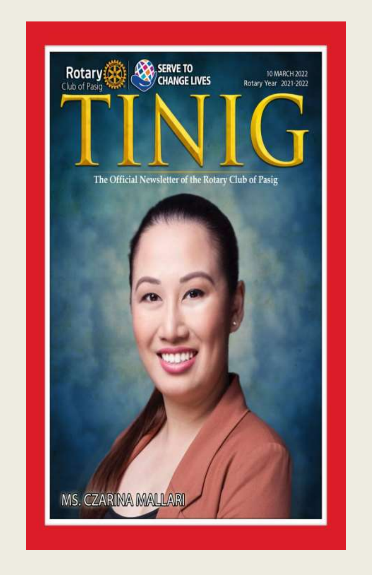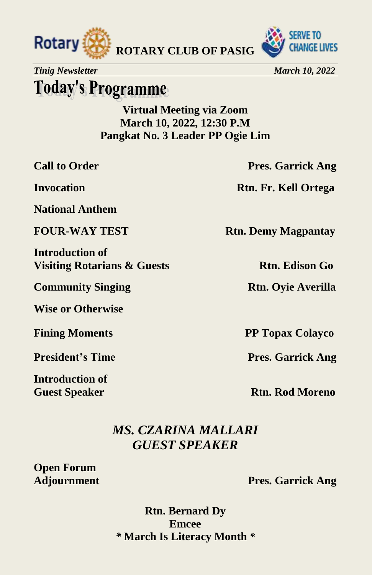



*Tinig Newsletter* March 10, 2022 *March 10, 2022* 

## **Today's Programme**

**Virtual Meeting via Zoom March 10, 2022, 12:30 P.M Pangkat No. 3 Leader PP Ogie Lim**

**National Anthem** 

**Introduction of Visiting Rotarians & Guests** Rtn. Edison Go

**Community Singing Community Singing Rtn. Oyie Averilla** 

**Wise or Otherwise** 

**Introduction of** 

**Call to Order Pres. Garrick Ang** 

**Invocation Rtn. Fr. Kell Ortega** 

**FOUR-WAY TEST** Rtn. Demy Magpantay

**Fining Moments PP Topax Colayco** 

**President's Time Pres. Garrick Ang** 

**Guest Speaker Rtn. Rod Moreno** 

### *MS. CZARINA MALLARI GUEST SPEAKER*

**Open Forum**

**Adjournment Pres. Garrick Ang** 

**Rtn. Bernard Dy Emcee**  *\** **March Is Literacy Month** *\**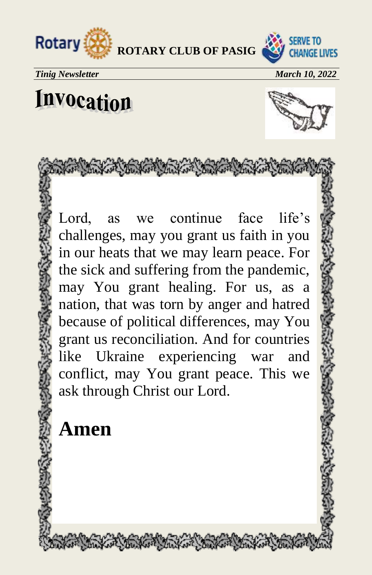

The first tent for the first of the first tent the



*Tinig Newsletter* March 10, 2022

# Invocation



Lord, as we continue face life's challenges, may you grant us faith in you in our heats that we may learn peace. For the sick and suffering from the pandemic, may You grant healing. For us, as a nation, that was torn by anger and hatred because of political differences, may You grant us reconciliation. And for countries like Ukraine experiencing war and conflict, may You grant peace. This we ask through Christ our Lord.

**Amen**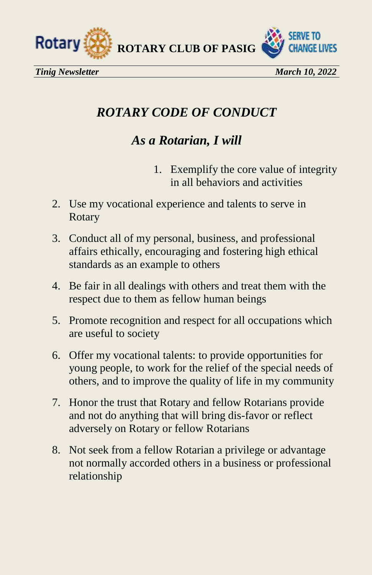



### *ROTARY CODE OF CONDUCT*

### *As a Rotarian, I will*

- 1. Exemplify the core value of integrity in all behaviors and activities
- 2. Use my vocational experience and talents to serve in Rotary
- 3. Conduct all of my personal, business, and professional affairs ethically, encouraging and fostering high ethical standards as an example to others
- 4. Be fair in all dealings with others and treat them with the respect due to them as fellow human beings
- 5. Promote recognition and respect for all occupations which are useful to society
- 6. Offer my vocational talents: to provide opportunities for young people, to work for the relief of the special needs of others, and to improve the quality of life in my community
- 7. Honor the trust that Rotary and fellow Rotarians provide and not do anything that will bring dis-favor or reflect adversely on Rotary or fellow Rotarians
- 8. Not seek from a fellow Rotarian a privilege or advantage not normally accorded others in a business or professional relationship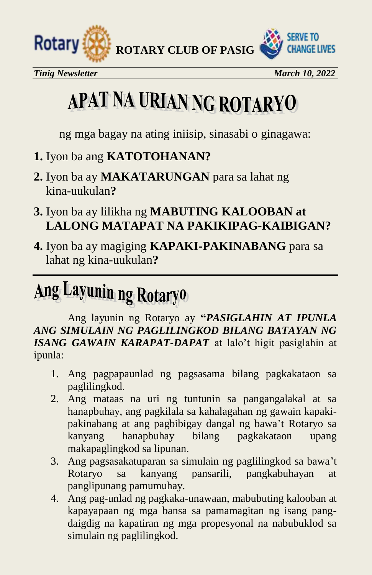

*Tinig Newsletter* March 10, 2022

# APAT NA URIAN NG ROTARYO

ng mga bagay na ating iniisip, sinasabi o ginagawa:

- **1.** Iyon ba ang **KATOTOHANAN?**
- **2.** Iyon ba ay **MAKATARUNGAN** para sa lahat ng kina-uukulan**?**
- **3.** Iyon ba ay lilikha ng **MABUTING KALOOBAN at LALONG MATAPAT NA PAKIKIPAG-KAIBIGAN?**
- **4.** Iyon ba ay magiging **KAPAKI-PAKINABANG** para sa lahat ng kina-uukulan**?**

# Ang Layunin ng Rotaryo

Ang layunin ng Rotaryo ay **"***PASIGLAHIN AT IPUNLA ANG SIMULAIN NG PAGLILINGKOD BILANG BATAYAN NG ISANG GAWAIN KARAPAT-DAPAT* at lalo't higit pasiglahin at ipunla:

- 1. Ang pagpapaunlad ng pagsasama bilang pagkakataon sa paglilingkod.
- 2. Ang mataas na uri ng tuntunin sa pangangalakal at sa hanapbuhay, ang pagkilala sa kahalagahan ng gawain kapakipakinabang at ang pagbibigay dangal ng bawa't Rotaryo sa kanyang hanapbuhay bilang pagkakataon upang makapaglingkod sa lipunan.
- 3. Ang pagsasakatuparan sa simulain ng paglilingkod sa bawa't Rotaryo sa kanyang pansarili, pangkabuhayan at panglipunang pamumuhay.
- 4. Ang pag-unlad ng pagkaka-unawaan, mabubuting kalooban at kapayapaan ng mga bansa sa pamamagitan ng isang pangdaigdig na kapatiran ng mga propesyonal na nabubuklod sa simulain ng paglilingkod.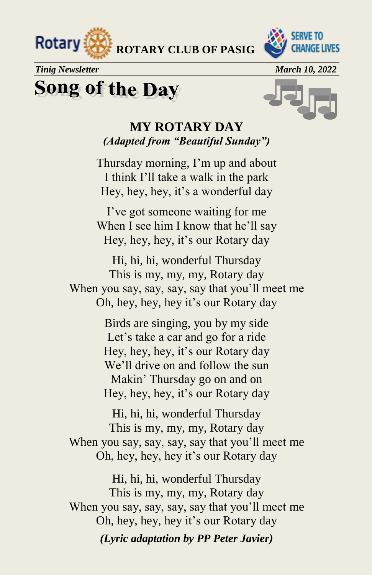

*Tinig Newsletter* March 10, 2022

## **Song of the Day**



### **MY ROTARY DAY** *(Adapted from "Beautiful Sunday")*

Thursday morning, I'm up and about I think I'll take a walk in the park Hey, hey, hey, it's a wonderful day

I've got someone waiting for me When I see him I know that he'll say Hey, hey, hey, it's our Rotary day

Hi, hi, hi, wonderful Thursday This is my, my, my, Rotary day When you say, say, say, say that you'll meet me Oh, hey, hey, hey it's our Rotary day

> Birds are singing, you by my side Let's take a car and go for a ride Hey, hey, hey, it's our Rotary day We'll drive on and follow the sun Makin' Thursday go on and on Hey, hey, hey, it's our Rotary day

Hi, hi, hi, wonderful Thursday This is my, my, my, Rotary day When you say, say, say, say that you'll meet me Oh, hey, hey, hey it's our Rotary day

Hi, hi, hi, wonderful Thursday This is my, my, my, Rotary day When you say, say, say, say that you'll meet me Oh, hey, hey, hey it's our Rotary day *(Lyric adaptation by PP Peter Javier)*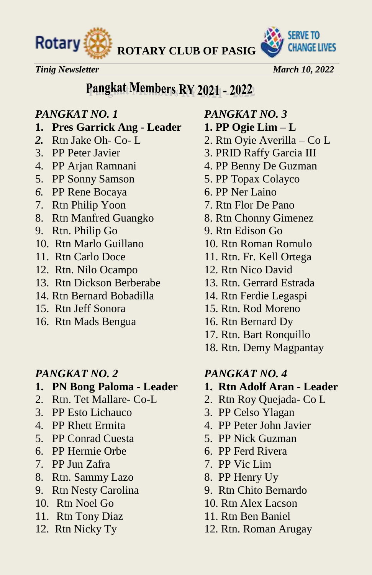



**SERVE TO** 

**CHANGE LIVES** 

### Pangkat Members RY 2021 - 2022

- **1. Pres Garrick Ang Leader 1. PP Ogie Lim L**
- 
- 
- 
- 5. PP Sonny Samson 5. PP Topax Colayco
- *6.* PP Rene Bocaya 6. PP Ner Laino
- 
- 8. Rtn Manfred Guangko 8. Rtn Chonny Gimenez
- 9. Rtn. Philip Go 9. Rtn Edison Go
- 10. Rtn Marlo Guillano 10. Rtn Roman Romulo
- 
- 12. Rtn. Nilo Ocampo 12. Rtn Nico David
- 13. Rtn Dickson Berberabe 13. Rtn. Gerrard Estrada
- 14. Rtn Bernard Bobadilla 14. Rtn Ferdie Legaspi
- 
- 16. Rtn Mads Bengua 16. Rtn Bernard Dy

- **1. PN Bong Paloma Leader 1. Rtn Adolf Aran Leader**
- 
- 3. PP Esto Lichauco 3. PP Celso Ylagan
- 
- 5. PP Conrad Cuesta 5. PP Nick Guzman
- 6. PP Hermie Orbe 6. PP Ferd Rivera
- 7. PP Jun Zafra 7. PP Vic Lim
- 8. Rtn. Sammy Lazo 8. PP Henry Uy
- 9. Rtn Nesty Carolina 9. Rtn Chito Bernardo
- 
- 11. Rtn Tony Diaz 11. Rtn Ben Baniel
- 
- *PANGKAT NO. 1 PANGKAT NO. 3* 
	-
- *2.* Rtn Jake Oh- Co- L 2. Rtn Oyie Averilla Co L
- 3. PP Peter Javier 3. PRID Raffy Garcia III
- 4. PP Arjan Ramnani 4. PP Benny De Guzman
	-
	-
- 7. Rtn Philip Yoon 7. Rtn Flor De Pano
	-
	-
	-
- 11. Rtn Carlo Doce 11. Rtn. Fr. Kell Ortega
	-
	-
	-
- 15. Rtn Jeff Sonora 15. Rtn. Rod Moreno
	-
	- 17. Rtn. Bart Ronquillo
	- 18. Rtn. Demy Magpantay

### *PANGKAT NO. 2 PANGKAT NO. 4*

- 
- 2. Rtn. Tet Mallare- Co-L 2. Rtn Roy Quejada- Co L
	-
- 4. PP Rhett Ermita 4. PP Peter John Javier
	-
	-
	-
	-
	-
- 10. Rtn Noel Go 10. Rtn Alex Lacson
	-
- 12. Rtn Nicky Ty 12. Rtn. Roman Arugay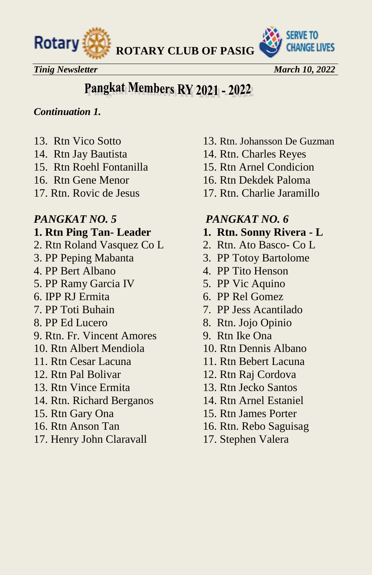



*Tinig Newsletter* March 10, 2022

### Pangkat Members RY 2021 - 2022

#### *Continuation 1.*

- 
- 
- 15. Rtn Roehl Fontanilla 15. Rtn Arnel Condicion
- 
- 

- 2. Rtn Roland Vasquez Co L 2. Rtn. Ato Basco- Co L
- 
- 
- 5. PP Ramy Garcia IV 5. PP Vic Aquino
- 
- 
- 
- 9. Rtn. Fr. Vincent Amores 9. Rtn Ike Ona
- 10. Rtn Albert Mendiola 10. Rtn Dennis Albano
- 
- 
- 13. Rtn Vince Ermita 13. Rtn Jecko Santos
- 14. Rtn. Richard Berganos 14. Rtn Arnel Estaniel
- 
- 
- 17. Henry John Claravall 17. Stephen Valera
- 13. Rtn Vico Sotto 13. Rtn. Johansson De Guzman
- 14. Rtn Jay Bautista 14. Rtn. Charles Reyes
	-
- 16. Rtn Gene Menor 16. Rtn Dekdek Paloma
- 17. Rtn. Rovic de Jesus 17. Rtn. Charlie Jaramillo

### *PANGKAT NO. 5 PANGKAT NO. 6*

- **1. Rtn Ping Tan- Leader 1. Rtn. Sonny Rivera L**
	-
- 3. PP Peping Mabanta 3. PP Totoy Bartolome
- 4. PP Bert Albano 4. PP Tito Henson
	-
- 6. IPP RJ Ermita 6. PP Rel Gomez
- 7. PP Toti Buhain 7. PP Jess Acantilado
- 8. PP Ed Lucero 8. Rtn. Jojo Opinio
	-
	-
- 11. Rtn Cesar Lacuna 11. Rtn Bebert Lacuna
- 12. Rtn Pal Bolivar 12. Rtn Raj Cordova
	-
	-
- 15. Rtn Gary Ona 15. Rtn James Porter
- 16. Rtn Anson Tan 16. Rtn. Rebo Saguisag
	-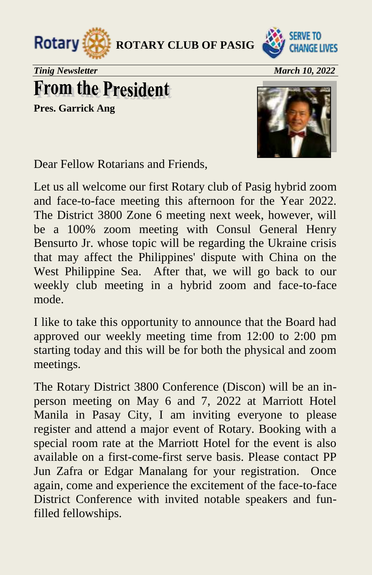



*Tinig Newsletter* March 10, 2022

# **From the President**

**Pres. Garrick Ang**



Dear Fellow Rotarians and Friends,

Let us all welcome our first Rotary club of Pasig hybrid zoom and face-to-face meeting this afternoon for the Year 2022. The District 3800 Zone 6 meeting next week, however, will be a 100% zoom meeting with Consul General Henry Bensurto Jr. whose topic will be regarding the Ukraine crisis that may affect the Philippines' dispute with China on the West Philippine Sea. After that, we will go back to our weekly club meeting in a hybrid zoom and face-to-face mode.

I like to take this opportunity to announce that the Board had approved our weekly meeting time from 12:00 to 2:00 pm starting today and this will be for both the physical and zoom meetings.

The Rotary District 3800 Conference (Discon) will be an inperson meeting on May 6 and 7, 2022 at Marriott Hotel Manila in Pasay City, I am inviting everyone to please register and attend a major event of Rotary. Booking with a special room rate at the Marriott Hotel for the event is also available on a first-come-first serve basis. Please contact PP Jun Zafra or Edgar Manalang for your registration. Once again, come and experience the excitement of the face-to-face District Conference with invited notable speakers and funfilled fellowships.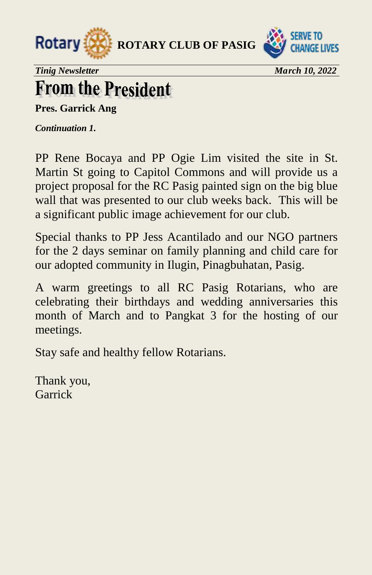



*Tinig Newsletter* March 10, 2022

# **From the President**

**Pres. Garrick Ang**

*Continuation 1.* 

PP Rene Bocaya and PP Ogie Lim visited the site in St. Martin St going to Capitol Commons and will provide us a project proposal for the RC Pasig painted sign on the big blue wall that was presented to our club weeks back. This will be a significant public image achievement for our club.

Special thanks to PP Jess Acantilado and our NGO partners for the 2 days seminar on family planning and child care for our adopted community in Ilugin, Pinagbuhatan, Pasig.

A warm greetings to all RC Pasig Rotarians, who are celebrating their birthdays and wedding anniversaries this month of March and to Pangkat 3 for the hosting of our meetings.

Stay safe and healthy fellow Rotarians.

Thank you, **Garrick**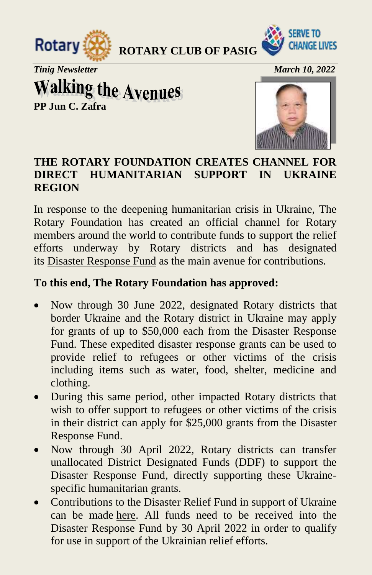



*Tinig Newsletter* March 10, 2022 *March 10, 2022* 

**Walking the Avenues** 



### **THE ROTARY FOUNDATION CREATES CHANNEL FOR DIRECT HUMANITARIAN SUPPORT IN UKRAINE REGION**

In response to the deepening humanitarian crisis in Ukraine, The Rotary Foundation has created an official channel for Rotary members around the world to contribute funds to support the relief efforts underway by Rotary districts and has designated its [Disaster Response Fund](https://my.rotary.org/en/disaster-response-fund) as the main avenue for contributions.

#### **To this end, The Rotary Foundation has approved:**

- Now through 30 June 2022, designated Rotary districts that border Ukraine and the Rotary district in Ukraine may apply for grants of up to \$50,000 each from the Disaster Response Fund. These expedited disaster response grants can be used to provide relief to refugees or other victims of the crisis including items such as water, food, shelter, medicine and clothing.
- During this same period, other impacted Rotary districts that wish to offer support to refugees or other victims of the crisis in their district can apply for \$25,000 grants from the Disaster Response Fund.
- Now through 30 April 2022, Rotary districts can transfer unallocated District Designated Funds (DDF) to support the Disaster Response Fund, directly supporting these Ukrainespecific humanitarian grants.
- Contributions to the Disaster Relief Fund in support of Ukraine can be made [here.](https://my.rotary.org/en/disaster-response-fund) All funds need to be received into the Disaster Response Fund by 30 April 2022 in order to qualify for use in support of the Ukrainian relief efforts.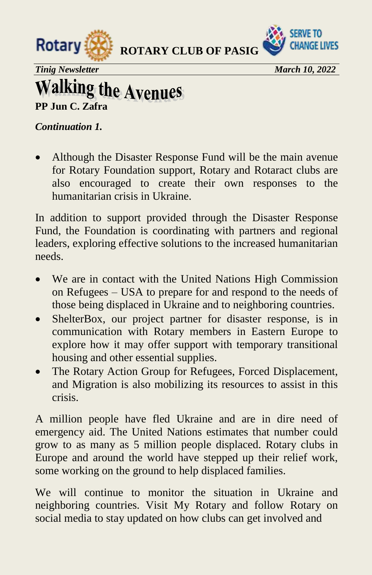



*Tinig Newsletter* March 10, 2022

# **Walking the Avenues**

**PP Jun C. Zafra**

*Continuation 1.* 

 Although the Disaster Response Fund will be the main avenue for Rotary Foundation support, Rotary and Rotaract clubs are also encouraged to create their own responses to the humanitarian crisis in Ukraine.

In addition to support provided through the Disaster Response Fund, the Foundation is coordinating with partners and regional leaders, exploring effective solutions to the increased humanitarian needs.

- We are in contact with the United Nations High Commission on Refugees – USA to prepare for and respond to the needs of those being displaced in Ukraine and to neighboring countries.
- ShelterBox, our project partner for disaster response, is in communication with Rotary members in Eastern Europe to explore how it may offer support with temporary transitional housing and other essential supplies.
- The Rotary Action Group for Refugees, Forced Displacement, and Migration is also mobilizing its resources to assist in this crisis.

A million people have fled Ukraine and are in dire need of emergency aid. The United Nations estimates that number could grow to as many as 5 million people displaced. Rotary clubs in Europe and around the world have stepped up their relief work, some working on the ground to help displaced families.

We will continue to monitor the situation in Ukraine and neighboring countries. Visit My Rotary and follow Rotary on social media to stay updated on how clubs can get involved and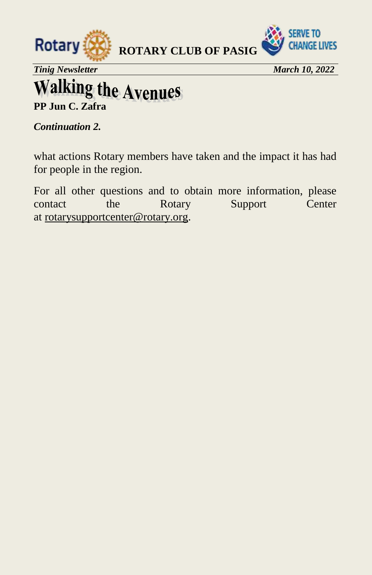



*Tinig Newsletter March 10, 2022* 

# **Walking the Avenues**

*Continuation 2.* 

what actions Rotary members have taken and the impact it has had for people in the region.

For all other questions and to obtain more information, please contact the Rotary Support Center at [rotarysupportcenter@rotary.org.](mailto:rotarysupportcenter@rotary.org)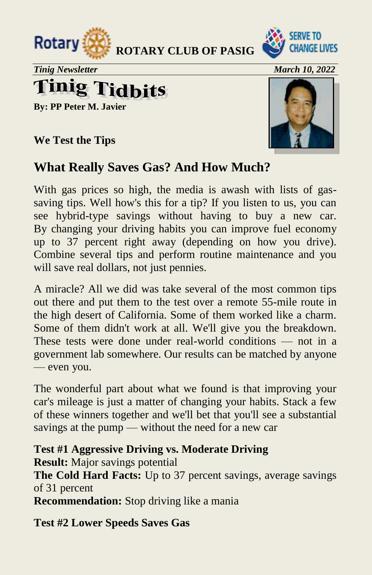



*Tinig Newsletter* March 10, 2022

# **Tinig Tidbits**

**By: PP Peter M. Javier** 

### **We Test the Tips**

### **What Really Saves Gas? And How Much?**

With gas prices so high, the media is awash with lists of gassaving tips. Well how's this for a tip? If you listen to us, you can see hybrid-type savings without having to buy a new car. By changing your driving habits you can improve fuel economy up to 37 percent right away (depending on how you drive). Combine several tips and perform routine maintenance and you will save real dollars, not just pennies.

A miracle? All we did was take several of the most common tips out there and put them to the test over a remote 55-mile route in the high desert of California. Some of them worked like a charm. Some of them didn't work at all. We'll give you the breakdown. These tests were done under real-world conditions — not in a government lab somewhere. Our results can be matched by anyone — even you.

The wonderful part about what we found is that improving your car's mileage is just a matter of changing your habits. Stack a few of these winners together and we'll bet that you'll see a substantial savings at the pump — without the need for a new car

**Test #1 Aggressive Driving vs. Moderate Driving Result:** Major savings potential **The Cold Hard Facts:** Up to 37 percent savings, average savings of 31 percent **Recommendation:** Stop driving like a mania

**Test #2 Lower Speeds Saves Gas** 



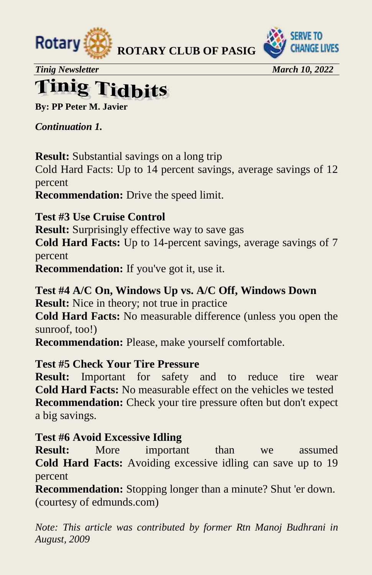



*Tinig Newsletter* March 10, 2022

# **Tinig Tidbits**

**By: PP Peter M. Javier** 

*Continuation 1.* 

**Result:** Substantial savings on a long trip

Cold Hard Facts: Up to 14 percent savings, average savings of 12 percent

**Recommendation:** Drive the speed limit.

**Test #3 Use Cruise Control Result:** Surprisingly effective way to save gas **Cold Hard Facts:** Up to 14-percent savings, average savings of 7 percent **Recommendation:** If you've got it, use it.

**Test #4 A/C On, Windows Up vs. A/C Off, Windows Down Result:** Nice in theory; not true in practice **Cold Hard Facts:** No measurable difference (unless you open the sunroof, too!)

**Recommendation:** Please, make yourself comfortable.

### **Test #5 Check Your Tire Pressure**

**Result:** Important for safety and to reduce tire wear **Cold Hard Facts:** No measurable effect on the vehicles we tested **Recommendation:** Check your tire pressure often but don't expect a big savings.

### **Test #6 Avoid Excessive Idling**

**Result:** More important than we assumed **Cold Hard Facts:** Avoiding excessive idling can save up to 19 percent

**Recommendation:** Stopping longer than a minute? Shut 'er down. (courtesy of edmunds.com)

*Note: This article was contributed by former Rtn Manoj Budhrani in August, 2009*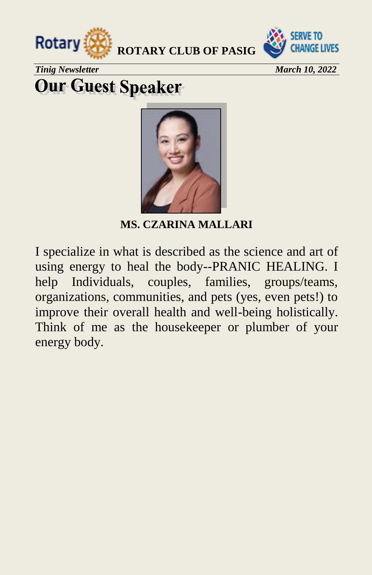



**Tinig Newsletter March 10, 2022** 

# **Our Guest Speaker**



**MS. CZARINA MALLARI** 

I specialize in what is described as the science and art of using energy to heal the body--PRANIC HEALING. I help Individuals, couples, families, groups/teams, organizations, communities, and pets (yes, even pets!) to improve their overall health and well-being holistically. Think of me as the housekeeper or plumber of your energy body.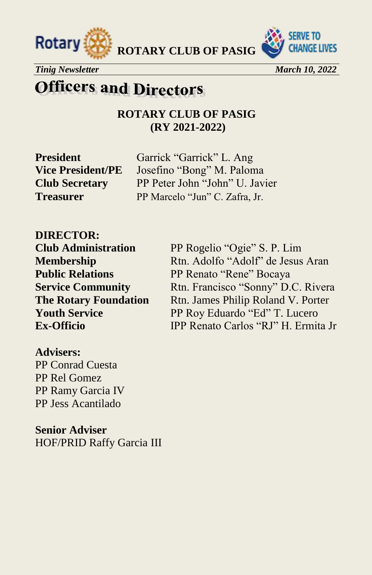



*Tinig Newsletter* March 10, 2022 *March 10, 2022* 

## **Officers and Directors**

**ROTARY CLUB OF PASIG (RY 2021-2022)**

**President** Garrick "Garrick" L. Ang **Vice President/PE** Josefino "Bong" M. Paloma **Club Secretary** PP Peter John "John" U. Javier **Treasurer** PP Marcelo "Jun" C. Zafra, Jr.

**DIRECTOR:** 

**Club Administration** PP Rogelio "Ogie" S. P. Lim **Membership** Rtn. Adolfo "Adolf" de Jesus Aran **Public Relations** PP Renato "Rene" Bocaya **Service Community** Rtn. Francisco "Sonny" D.C. Rivera **The Rotary Foundation** Rtn. James Philip Roland V. Porter **Youth Service** PP Roy Eduardo "Ed" T. Lucero **Ex-Officio** IPP Renato Carlos "RJ" H. Ermita Jr

#### **Advisers:**

PP Conrad Cuesta PP Rel Gomez PP Ramy Garcia IV PP Jess Acantilado

**Senior Adviser**  HOF/PRID Raffy Garcia III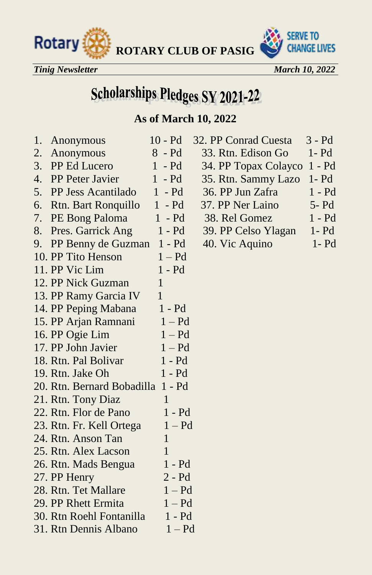



*Tinig Newsletter March 10, 2022* 

# **Scholarships Pledges SY 2021-22**

### **As of March 10, 2022**

| 1. | Anonymous                         | $10 - Pd$    | 32. PP Conrad Cuesta | 3 - Pd   |
|----|-----------------------------------|--------------|----------------------|----------|
| 2. | Anonymous                         | $8 - Pd$     | 33. Rtn. Edison Go   | $1 - Pd$ |
| 3. | PP Ed Lucero                      | $1 - Pd$     | 34. PP Topax Colayco | $1 - Pd$ |
| 4. | PP Peter Javier                   | $1 - Pd$     | 35. Rtn. Sammy Lazo  | $1 - Pd$ |
| 5. | PP Jess Acantilado                | $1 - Pd$     | 36. PP Jun Zafra     | $1 - Pd$ |
| 6. | <b>Rtn. Bart Ronquillo</b>        | $1 - Pd$     | 37. PP Ner Laino     | $5-$ Pd  |
| 7. | PE Bong Paloma                    | $1 - Pd$     | 38. Rel Gomez        | $1 - Pd$ |
| 8. | Pres. Garrick Ang                 | $1 - Pd$     | 39. PP Celso Ylagan  | $1 - Pd$ |
| 9. | PP Benny de Guzman 1 - Pd         |              | 40. Vic Aquino       | $1 - Pd$ |
|    | 10. PP Tito Henson                | $1 - Pd$     |                      |          |
|    | 11. PP Vic Lim                    | $1 - Pd$     |                      |          |
|    | 12. PP Nick Guzman                | $\mathbf{1}$ |                      |          |
|    | 13. PP Ramy Garcia IV             | 1            |                      |          |
|    | 14. PP Peping Mabana              | $1 - Pd$     |                      |          |
|    | 15. PP Arjan Ramnani              | $1 - Pd$     |                      |          |
|    | 16. PP Ogie Lim                   | $1 - Pd$     |                      |          |
|    | 17. PP John Javier                | $1 - Pd$     |                      |          |
|    | 18. Rtn. Pal Bolivar              | 1 - Pd       |                      |          |
|    | 19. Rtn. Jake Oh                  | 1 - Pd       |                      |          |
|    | 20. Rtn. Bernard Bobadilla 1 - Pd |              |                      |          |
|    | 21. Rtn. Tony Diaz                | 1            |                      |          |
|    | 22. Rtn. Flor de Pano             | 1 - Pd       |                      |          |
|    | 23. Rtn. Fr. Kell Ortega          | $1 - Pd$     |                      |          |
|    | 24. Rtn. Anson Tan                | 1            |                      |          |
|    | 25. Rtn. Alex Lacson              | 1            |                      |          |
|    | 26. Rtn. Mads Bengua              | 1 - Pd       |                      |          |
|    | 27. PP Henry                      | $2 - Pd$     |                      |          |
|    | 28. Rtn. Tet Mallare              | $1 - Pd$     |                      |          |
|    | 29. PP Rhett Ermita               | $1 - Pd$     |                      |          |
|    | 30. Rtn Roehl Fontanilla          | $1 - Pd$     |                      |          |
|    | 31. Rtn Dennis Albano             | $1 - Pd$     |                      |          |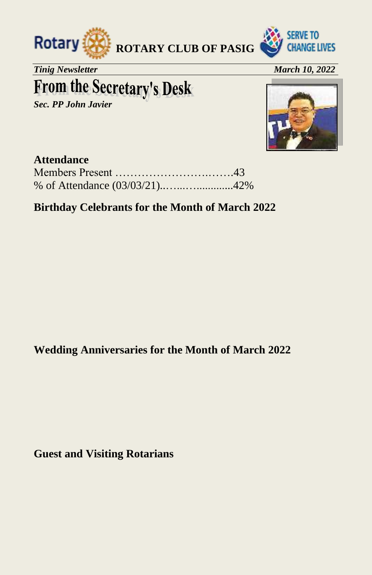



*Tinig Newsletter March 10, 2022* 

# **From the Secretary's Desk**

*Sec. PP John Javier* 



### **Attendance**

### **Birthday Celebrants for the Month of March 2022**

### **Wedding Anniversaries for the Month of March 2022**

**Guest and Visiting Rotarians**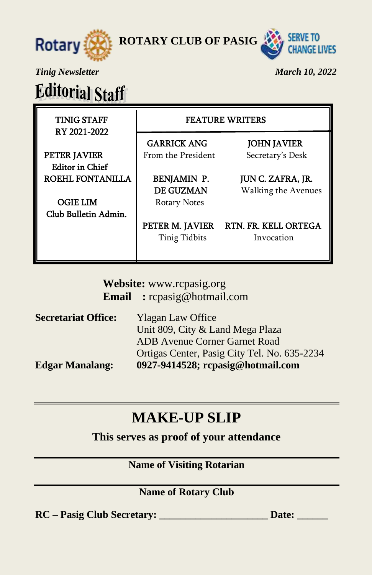



*Tinig Newsletter* March 10, 2022

# **Editorial Staff**

TINIG STAFF FEATURE WRITERS RY 2021-2022

**PETER JAVIER** From the President Secretary's Desk Editor in Chief ROEHL FONTANILLA | BENJAMIN P. JUN C. ZAFRA, JR.

OGIE LIM Rotary Notes Club Bulletin Admin.

GARRICK ANG JOHN JAVIER

DE GUZMAN Walking the Avenues

PETER M. JAVIER RTN. FR. KELL ORTEGA Tinig Tidbits Invocation

**Website:** [www.rcpasig.org](http://www.rcpasig.org/) **Email :** [rcpasig@hotmail.com](mailto:rcpasig@hotmail.com) 

| <b>Secretariat Office:</b> | <b>Ylagan Law Office</b>                     |
|----------------------------|----------------------------------------------|
|                            | Unit 809, City & Land Mega Plaza             |
|                            | <b>ADB</b> Avenue Corner Garnet Road         |
|                            | Ortigas Center, Pasig City Tel. No. 635-2234 |
| <b>Edgar Manalang:</b>     | 0927-9414528; rcpasig@hotmail.com            |

### **MAKE-UP SLIP**

**This serves as proof of your attendance** 

#### **Name of Visiting Rotarian**

#### **Name of Rotary Club**

**RC – Pasig Club Secretary: \_\_\_\_\_\_\_\_\_\_\_\_\_\_\_\_\_\_\_\_\_ Date: \_\_\_\_\_\_**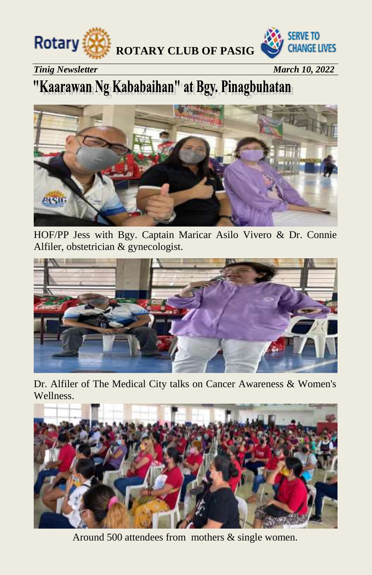



*Tinig Newsletter* March 10, 2022

## "Kaarawan Ng Kababaihan" at Bgy. Pinagbuhatan



HOF/PP Jess with Bgy. Captain Maricar Asilo Vivero & Dr. Connie Alfiler, obstetrician & gynecologist.



Dr. Alfiler of The Medical City talks on Cancer Awareness & Women's Wellness.



Around 500 attendees from mothers & single women.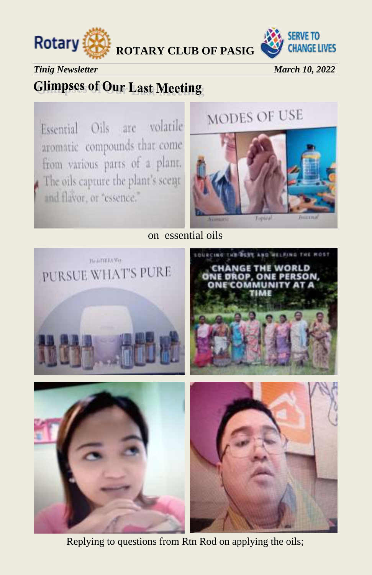



*Tinig Newsletter March 10, 2022* 

### **Glimpses of Our Last Meeting**

Essential Oils are volatile aromatic compounds that come from various parts of a plant. The oils capture the plant's scent and flavor, or "essence."

## MODES OF USE



on essential oils



Replying to questions from Rtn Rod on applying the oils;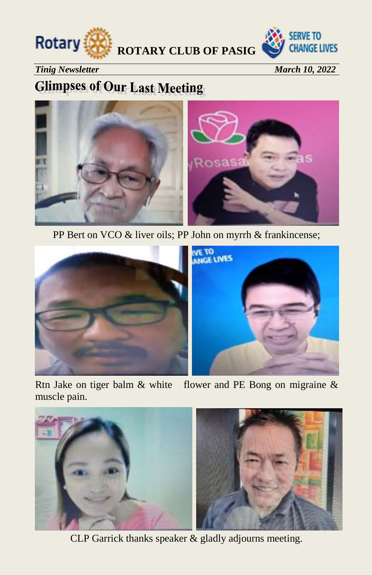



*Tinig Newsletter* March 10, 2022

### **Glimpses of Our Last Meeting**



PP Bert on VCO & liver oils; PP John on myrrh & frankincense;



Rtn Jake on tiger balm & white flower and PE Bong on migraine & muscle pain.



CLP Garrick thanks speaker & gladly adjourns meeting.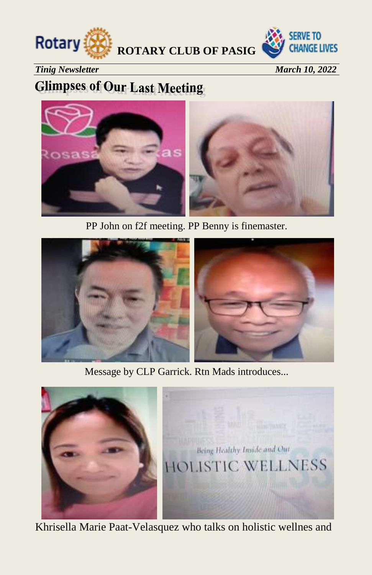



#### *Tinig Newsletter* March 10, 2022

### **Glimpses of Our Last Meeting**



PP John on f2f meeting. PP Benny is finemaster.



Message by CLP Garrick. Rtn Mads introduces...



Khrisella Marie Paat-Velasquez who talks on holistic wellnes and